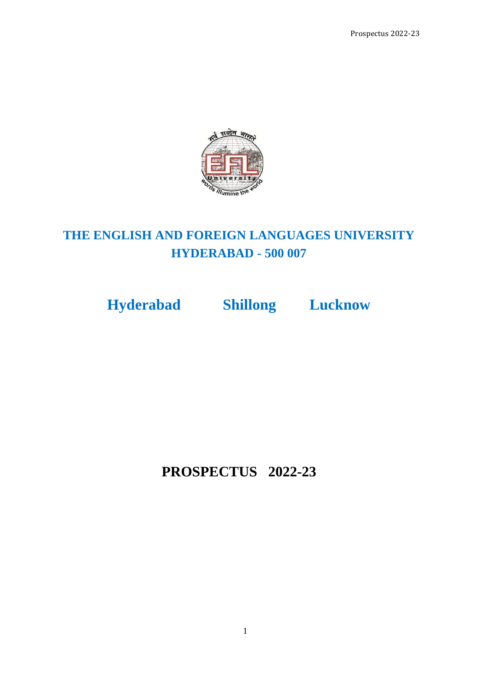

# **THE ENGLISH AND FOREIGN LANGUAGES UNIVERSITY HYDERABAD - 500 007**

**Hyderabad Shillong Lucknow**

**PROSPECTUS 2022-23**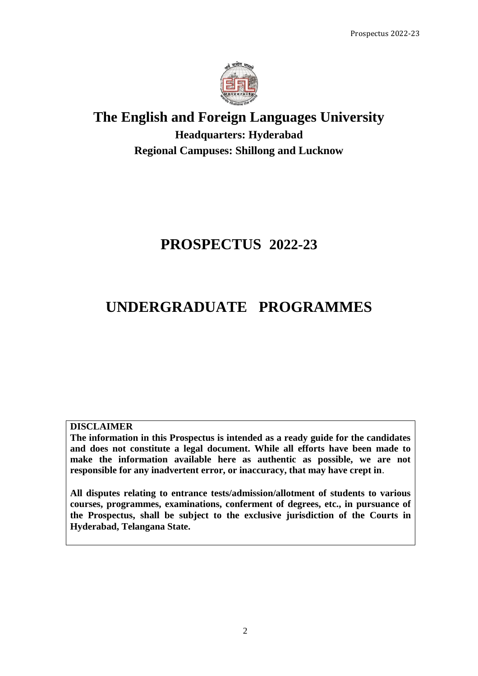

# **The English and Foreign Languages University Headquarters: Hyderabad Regional Campuses: Shillong and Lucknow**

# **PROSPECTUS 2022-23**

# **UNDERGRADUATE PROGRAMMES**

### **DISCLAIMER**

**The information in this Prospectus is intended as a ready guide for the candidates and does not constitute a legal document. While all efforts have been made to make the information available here as authentic as possible, we are not responsible for any inadvertent error, or inaccuracy, that may have crept in**.

**All disputes relating to entrance tests/admission/allotment of students to various courses, programmes, examinations, conferment of degrees, etc., in pursuance of the Prospectus, shall be subject to the exclusive jurisdiction of the Courts in Hyderabad, Telangana State.**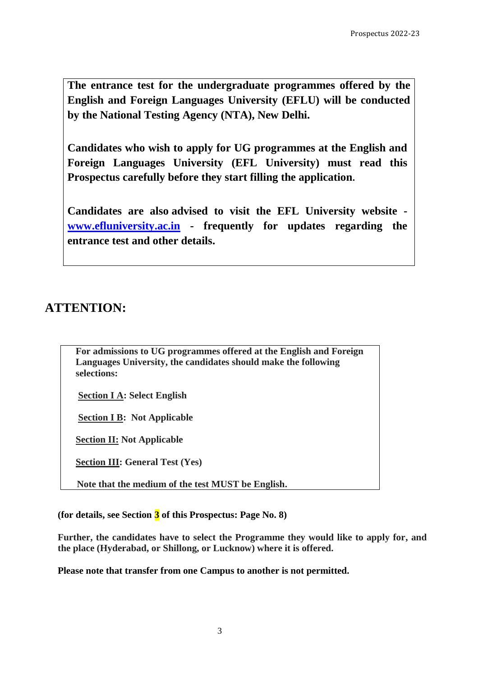**The entrance test for the undergraduate programmes offered by the English and Foreign Languages University (EFLU) will be conducted by the National Testing Agency (NTA), New Delhi.**

**Candidates who wish to apply for UG programmes at the English and Foreign Languages University (EFL University) must read this Prospectus carefully before they start filling the application.** 

**Candidates are also advised to visit the EFL University website [www.efluniversity.ac.in](http://www.efluniversity.ac.in/) - frequently for updates regarding the entrance test and other details.**

# **ATTENTION:**

**For admissions to UG programmes offered at the English and Foreign Languages University, the candidates should make the following selections:**

**Section I A: Select English** 

**Section I B: Not Applicable**

**Section II: Not Applicable**

**Section III: General Test (Yes)**

 **Note that the medium of the test MUST be English.**

**(for details, see Section 3 of this Prospectus: Page No. 8)**

**Further, the candidates have to select the Programme they would like to apply for, and the place (Hyderabad, or Shillong, or Lucknow) where it is offered.**

**Please note that transfer from one Campus to another is not permitted.**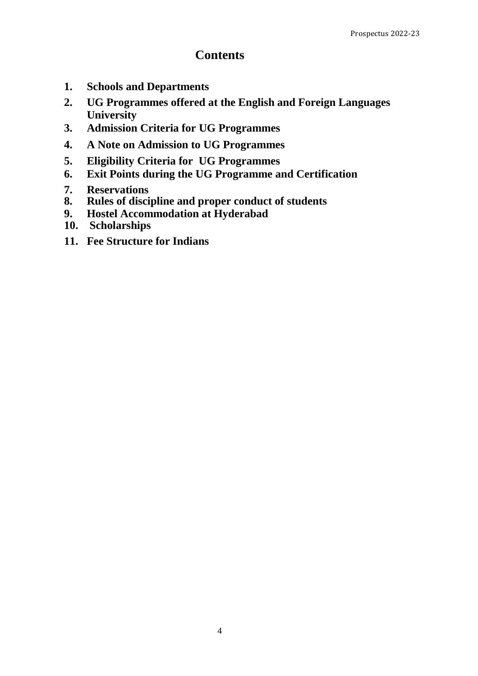### **Contents**

- **1. Schools and Departments**
- **2. UG Programmes offered at the English and Foreign Languages University**
- **3. Admission Criteria for UG Programmes**
- **4. A Note on Admission to UG Programmes**
- **5. Eligibility Criteria for UG Programmes**
- **6. Exit Points during the UG Programme and Certification**
- **7. Reservations**
- **8. Rules of discipline and proper conduct of students**
- **9. Hostel Accommodation at Hyderabad**
- **10. Scholarships**
- **11. Fee Structure for Indians**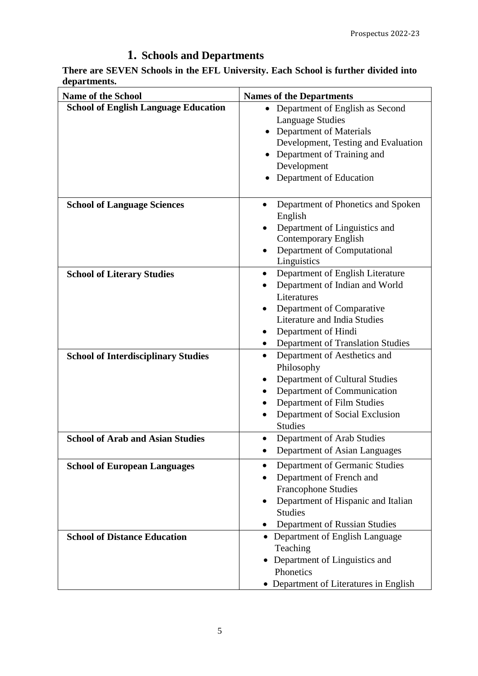# **1. Schools and Departments**

**There are SEVEN Schools in the EFL University. Each School is further divided into departments.**

| <b>Name of the School</b>                                                  | <b>Names of the Departments</b>                                                                                                                                                                                                                             |
|----------------------------------------------------------------------------|-------------------------------------------------------------------------------------------------------------------------------------------------------------------------------------------------------------------------------------------------------------|
| <b>School of English Language Education</b>                                | Department of English as Second<br>$\bullet$<br><b>Language Studies</b><br><b>Department of Materials</b><br>Development, Testing and Evaluation<br>Department of Training and<br>Development<br>Department of Education                                    |
| <b>School of Language Sciences</b>                                         | Department of Phonetics and Spoken<br>English<br>Department of Linguistics and<br><b>Contemporary English</b><br>Department of Computational<br>$\bullet$<br>Linguistics                                                                                    |
| <b>School of Literary Studies</b>                                          | Department of English Literature<br>$\bullet$<br>Department of Indian and World<br>Literatures<br>Department of Comparative<br>Literature and India Studies<br>Department of Hindi<br>Department of Translation Studies                                     |
| <b>School of Interdisciplinary Studies</b>                                 | Department of Aesthetics and<br>$\bullet$<br>Philosophy<br>Department of Cultural Studies<br>Department of Communication<br>$\bullet$<br>Department of Film Studies<br>$\bullet$<br>Department of Social Exclusion<br><b>Studies</b>                        |
| <b>School of Arab and Asian Studies</b>                                    | Department of Arab Studies<br>Department of Asian Languages                                                                                                                                                                                                 |
| <b>School of European Languages</b><br><b>School of Distance Education</b> | Department of Germanic Studies<br>$\bullet$<br>Department of French and<br>$\bullet$<br><b>Francophone Studies</b><br>Department of Hispanic and Italian<br><b>Studies</b><br>Department of Russian Studies<br>• Department of English Language<br>Teaching |
|                                                                            | Department of Linguistics and<br>Phonetics<br>• Department of Literatures in English                                                                                                                                                                        |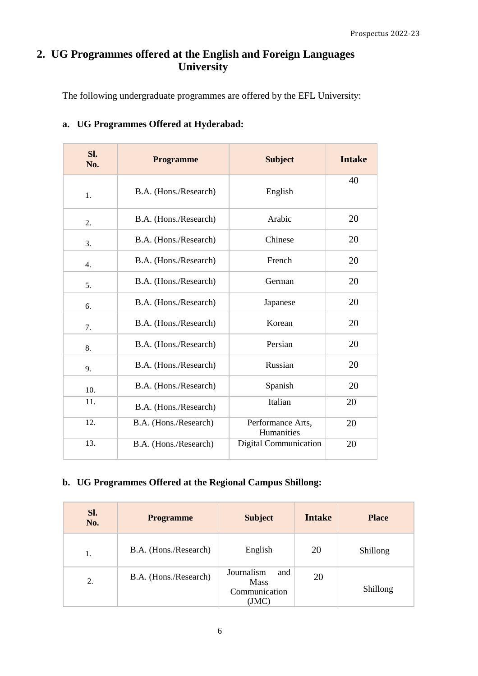### **2. UG Programmes offered at the English and Foreign Languages University**

The following undergraduate programmes are offered by the EFL University:

| Sl.<br>No. | <b>Programme</b>      | <b>Subject</b>                  | <b>Intake</b> |
|------------|-----------------------|---------------------------------|---------------|
| 1.         | B.A. (Hons./Research) | English                         | 40            |
| 2.         | B.A. (Hons./Research) | Arabic                          | 20            |
| 3.         | B.A. (Hons./Research) | Chinese                         | 20            |
| 4.         | B.A. (Hons./Research) | French                          | 20            |
| 5.         | B.A. (Hons./Research) | German                          | 20            |
| 6.         | B.A. (Hons./Research) | Japanese                        | 20            |
| 7.         | B.A. (Hons./Research) | Korean                          | 20            |
| 8.         | B.A. (Hons./Research) | Persian                         | 20            |
| 9.         | B.A. (Hons./Research) | Russian                         | 20            |
| 10.        | B.A. (Hons./Research) | Spanish                         | 20            |
| 11.        | B.A. (Hons./Research) | Italian                         | 20            |
| 12.        | B.A. (Hons./Research) | Performance Arts,<br>Humanities | 20            |
| 13.        | B.A. (Hons./Research) | <b>Digital Communication</b>    | 20            |

### **a. UG Programmes Offered at Hyderabad:**

### **b. UG Programmes Offered at the Regional Campus Shillong:**

| Sl.<br>No. | <b>Programme</b>      | <b>Subject</b>                                             | Intake | <b>Place</b> |
|------------|-----------------------|------------------------------------------------------------|--------|--------------|
| 1.         | B.A. (Hons./Research) | English                                                    | 20     | Shillong     |
| 2.         | B.A. (Hons./Research) | Journalism<br>and<br><b>Mass</b><br>Communication<br>(JMC) | 20     | Shillong     |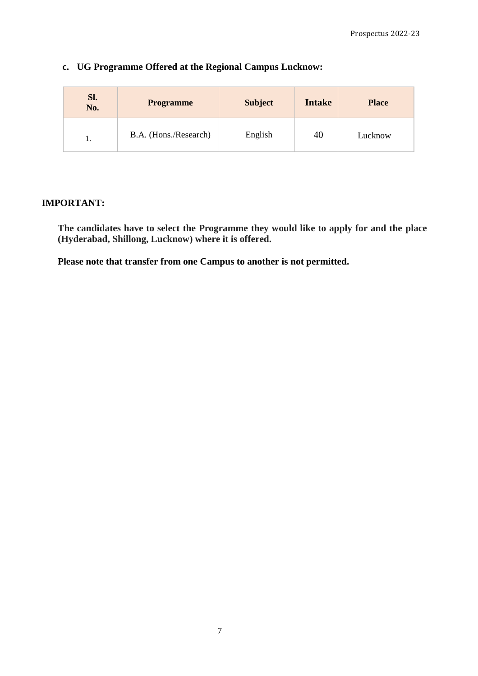| Sl.<br>No. | <b>Programme</b>      | <b>Subject</b> | <b>Intake</b> | <b>Place</b> |
|------------|-----------------------|----------------|---------------|--------------|
| ı.         | B.A. (Hons./Research) | English        | 40            | Lucknow      |

### **c. UG Programme Offered at the Regional Campus Lucknow:**

### **IMPORTANT:**

**The candidates have to select the Programme they would like to apply for and the place (Hyderabad, Shillong, Lucknow) where it is offered.**

**Please note that transfer from one Campus to another is not permitted.**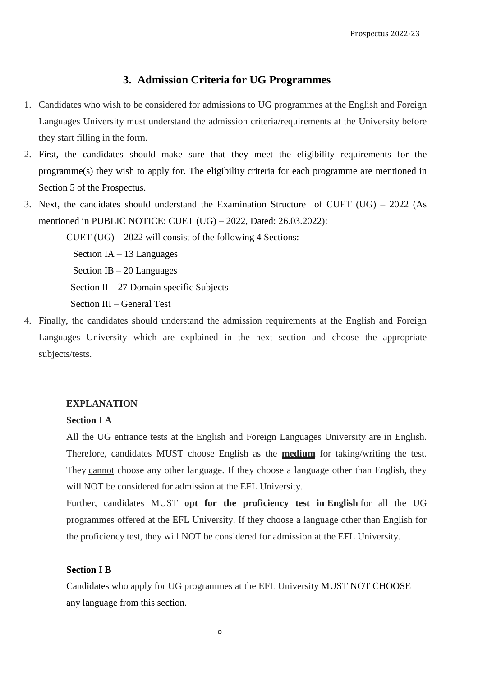### **3. Admission Criteria for UG Programmes**

- 1. Candidates who wish to be considered for admissions to UG programmes at the English and Foreign Languages University must understand the admission criteria/requirements at the University before they start filling in the form.
- 2. First, the candidates should make sure that they meet the eligibility requirements for the programme(s) they wish to apply for. The eligibility criteria for each programme are mentioned in Section 5 of the Prospectus.
- 3. Next, the candidates should understand the Examination Structure of CUET (UG) 2022 (As mentioned in PUBLIC NOTICE: CUET (UG) – 2022, Dated: 26.03.2022):

CUET  $(UG) - 2022$  will consist of the following 4 Sections: Section IA – 13 Languages Section IB – 20 Languages Section II – 27 Domain specific Subjects Section III – General Test

4. Finally, the candidates should understand the admission requirements at the English and Foreign Languages University which are explained in the next section and choose the appropriate subjects/tests.

#### **EXPLANATION**

#### **Section I A**

All the UG entrance tests at the English and Foreign Languages University are in English. Therefore, candidates MUST choose English as the **medium** for taking/writing the test. They cannot choose any other language. If they choose a language other than English, they will NOT be considered for admission at the EFL University.

Further, candidates MUST **opt for the proficiency test in English** for all the UG programmes offered at the EFL University. If they choose a language other than English for the proficiency test, they will NOT be considered for admission at the EFL University.

#### **Section I B**

Candidates who apply for UG programmes at the EFL University MUST NOT CHOOSE any language from this section.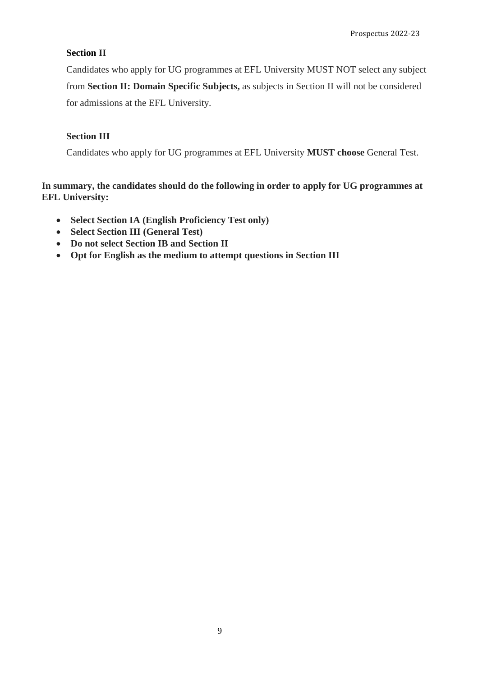#### **Section II**

Candidates who apply for UG programmes at EFL University MUST NOT select any subject from **Section II: Domain Specific Subjects,** as subjects in Section II will not be considered for admissions at the EFL University.

### **Section III**

Candidates who apply for UG programmes at EFL University **MUST choose** General Test.

**In summary, the candidates should do the following in order to apply for UG programmes at EFL University:**

- **Select Section IA (English Proficiency Test only)**
- **Select Section III (General Test)**
- **Do not select Section IB and Section II**
- **Opt for English as the medium to attempt questions in Section III**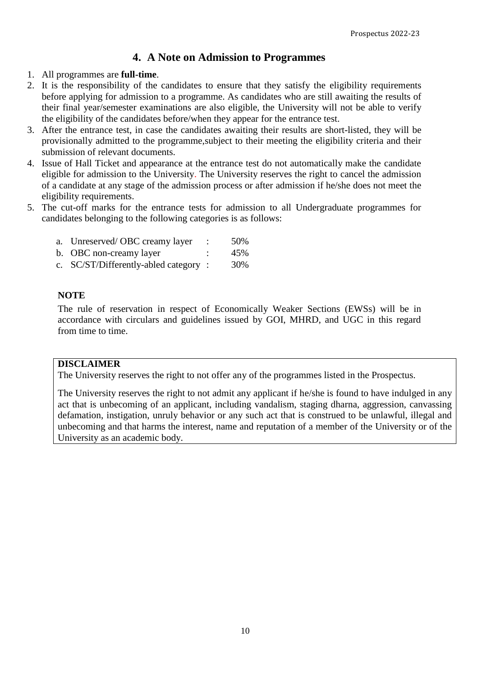### **4. A Note on Admission to Programmes**

- 1. All programmes are **full-time**.
- 2. It is the responsibility of the candidates to ensure that they satisfy the eligibility requirements before applying for admission to a programme. As candidates who are still awaiting the results of their final year/semester examinations are also eligible, the University will not be able to verify the eligibility of the candidates before/when they appear for the entrance test.
- 3. After the entrance test, in case the candidates awaiting their results are short-listed, they will be provisionally admitted to the programme,subject to their meeting the eligibility criteria and their submission of relevant documents.
- 4. Issue of Hall Ticket and appearance at the entrance test do not automatically make the candidate eligible for admission to the University. The University reserves the right to cancel the admission of a candidate at any stage of the admission process or after admission if he/she does not meet the eligibility requirements.
- 5. The cut-off marks for the entrance tests for admission to all Undergraduate programmes for candidates belonging to the following categories is as follows:

| a. Unreserved/OBC creamy layer       | 50% |
|--------------------------------------|-----|
| b. OBC non-creamy layer              | 45% |
| c. SC/ST/Differently-abled category: | 30% |

### **NOTE**

The rule of reservation in respect of Economically Weaker Sections (EWSs) will be in accordance with circulars and guidelines issued by GOI, MHRD, and UGC in this regard from time to time.

### **DISCLAIMER**

The University reserves the right to not offer any of the programmes listed in the Prospectus.

The University reserves the right to not admit any applicant if he/she is found to have indulged in any act that is unbecoming of an applicant, including vandalism, staging dharna, aggression, canvassing defamation, instigation, unruly behavior or any such act that is construed to be unlawful, illegal and unbecoming and that harms the interest, name and reputation of a member of the University or of the University as an academic body.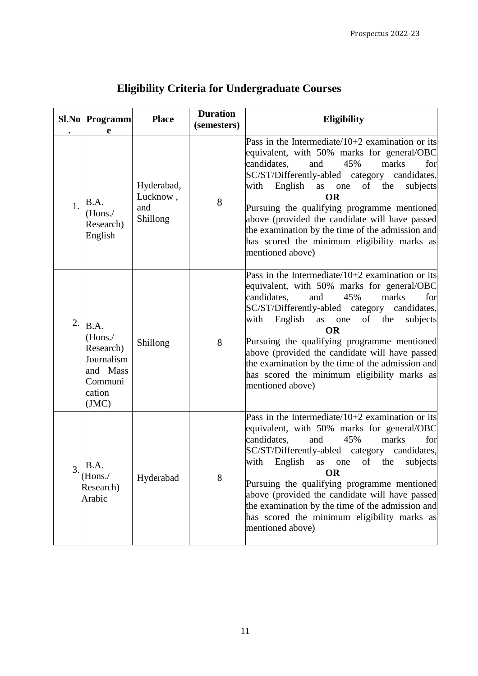|    | <b>Sl.No</b> Programm                                                               | <b>Place</b>                              | <b>Duration</b><br>(semesters) | <b>Eligibility</b>                                                                                                                                                                                                                                                                                                                                                                                                                                                                              |
|----|-------------------------------------------------------------------------------------|-------------------------------------------|--------------------------------|-------------------------------------------------------------------------------------------------------------------------------------------------------------------------------------------------------------------------------------------------------------------------------------------------------------------------------------------------------------------------------------------------------------------------------------------------------------------------------------------------|
| 1. | e<br>B.A.<br>(Hons./<br>Research)<br>English                                        | Hyderabad,<br>Lucknow,<br>and<br>Shillong | 8                              | Pass in the Intermediate/10+2 examination or its<br>equivalent, with 50% marks for general/OBC<br>candidates,<br>45%<br>and<br>marks<br>for<br>SC/ST/Differently-abled category candidates,<br>with<br>English<br>as one<br>of the<br>subjects<br><b>OR</b><br>Pursuing the qualifying programme mentioned<br>above (provided the candidate will have passed<br>the examination by the time of the admission and<br>has scored the minimum eligibility marks as<br>mentioned above)             |
| 2. | B.A.<br>(Hons.<br>Research)<br>Journalism<br>and Mass<br>Communi<br>cation<br>(JMC) | Shillong                                  | 8                              | Pass in the Intermediate/10+2 examination or its<br>equivalent, with 50% marks for general/OBC<br>candidates,<br>and<br>45%<br>marks<br>for<br>SC/ST/Differently-abled category candidates,<br>English<br>of the<br>with<br>as one<br>subjects<br><b>OR</b><br>Pursuing the qualifying programme mentioned<br>above (provided the candidate will have passed<br>the examination by the time of the admission and<br>has scored the minimum eligibility marks as<br>mentioned above)             |
| 3. | B.A.<br>(Hons./<br>Research)<br>Arabic                                              | Hyderabad                                 | 8                              | Pass in the Intermediate/ $10+2$ examination or its<br>equivalent, with 50% marks for general/OBC<br>candidates,<br>45%<br>and<br>marks<br>for<br>SC/ST/Differently-abled category<br>candidates,<br>with<br>English<br>as<br>of<br>the<br>subjects<br>one<br><b>OR</b><br>Pursuing the qualifying programme mentioned<br>above (provided the candidate will have passed<br>the examination by the time of the admission and<br>has scored the minimum eligibility marks as<br>mentioned above) |

# **Eligibility Criteria for Undergraduate Courses**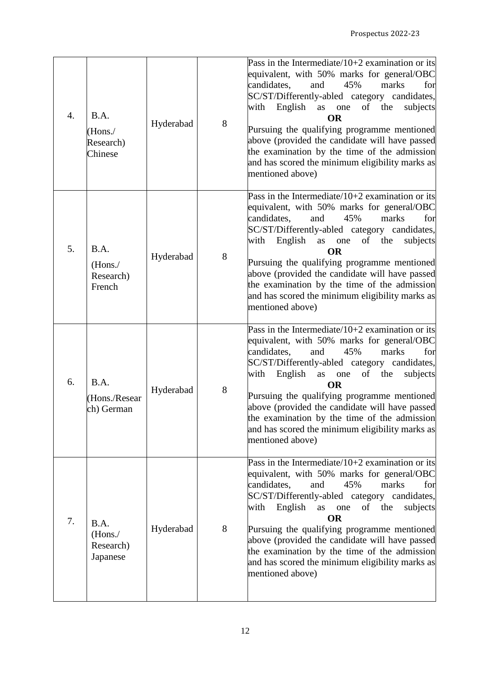| $\overline{4}$ . | B.A.<br>(Hons. /<br>Research)<br>Chinese  | Hyderabad | 8 | Pass in the Intermediate/10+2 examination or its<br>equivalent, with 50% marks for general/OBC<br>45%<br>candidates,<br>and<br>marks<br>for<br>SC/ST/Differently-abled category candidates,<br>with English as one<br>of the<br>subjects<br><b>OR</b><br>Pursuing the qualifying programme mentioned<br>above (provided the candidate will have passed<br>the examination by the time of the admission<br>and has scored the minimum eligibility marks as<br>mentioned above)                |
|------------------|-------------------------------------------|-----------|---|----------------------------------------------------------------------------------------------------------------------------------------------------------------------------------------------------------------------------------------------------------------------------------------------------------------------------------------------------------------------------------------------------------------------------------------------------------------------------------------------|
| 5.               | B.A.<br>(Hons./<br>Research)<br>French    | Hyderabad | 8 | Pass in the Intermediate/ $10+2$ examination or its<br>equivalent, with 50% marks for general/OBC<br>45%<br>candidates,<br>and<br>marks<br>for<br>SC/ST/Differently-abled category candidates,<br>English as one<br>with<br>the<br>subjects<br>of<br><b>OR</b><br>Pursuing the qualifying programme mentioned<br>above (provided the candidate will have passed<br>the examination by the time of the admission<br>and has scored the minimum eligibility marks as<br>mentioned above)       |
| 6.               | B.A.<br>(Hons./Resear<br>ch) German       | Hyderabad | 8 | Pass in the Intermediate/ $10+2$ examination or its<br>equivalent, with 50% marks for general/OBC<br>candidates,<br>and<br>45%<br>marks<br>for<br>SC/ST/Differently-abled category candidates,<br>with<br>English<br>as<br>one<br>of<br>subjects<br>the<br><b>OR</b><br>Pursuing the qualifying programme mentioned<br>above (provided the candidate will have passed<br>the examination by the time of the admission<br>and has scored the minimum eligibility marks as<br>mentioned above) |
| 7.               | B.A.<br>(Hons. /<br>Research)<br>Japanese | Hyderabad | 8 | Pass in the Intermediate/ $10+2$ examination or its<br>equivalent, with 50% marks for general/OBC<br>candidates,<br>and<br>45%<br>marks<br>for<br>SC/ST/Differently-abled category candidates,<br>with<br>English as one<br>of the<br>subjects<br><b>OR</b><br>Pursuing the qualifying programme mentioned<br>above (provided the candidate will have passed<br>the examination by the time of the admission<br>and has scored the minimum eligibility marks as<br>mentioned above)          |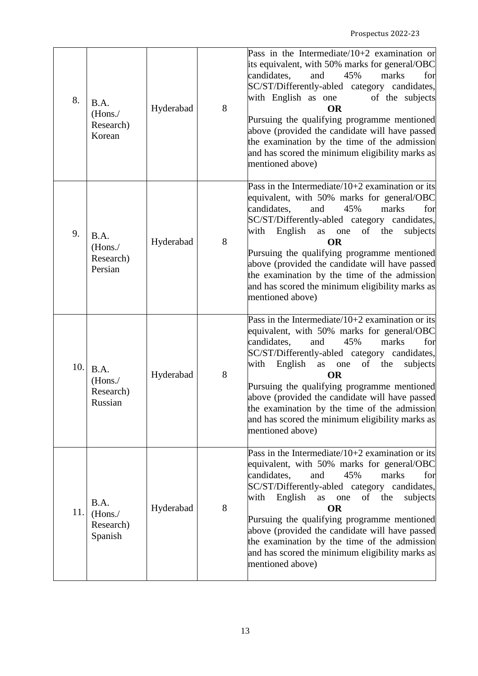| 8.  | B.A.<br>(Hons. /<br>Research)<br>Korean  | Hyderabad | 8 | Pass in the Intermediate/ $10+2$ examination or<br>its equivalent, with 50% marks for general/OBC<br>candidates,<br>45%<br>marks<br>for<br>and<br>SC/ST/Differently-abled category candidates,<br>with English as one<br>of the subjects<br><b>OR</b><br>Pursuing the qualifying programme mentioned<br>above (provided the candidate will have passed<br>the examination by the time of the admission<br>and has scored the minimum eligibility marks as<br>mentioned above)             |
|-----|------------------------------------------|-----------|---|-------------------------------------------------------------------------------------------------------------------------------------------------------------------------------------------------------------------------------------------------------------------------------------------------------------------------------------------------------------------------------------------------------------------------------------------------------------------------------------------|
| 9.  | B.A.<br>(Hons. /<br>Research)<br>Persian | Hyderabad | 8 | Pass in the Intermediate/ $10+2$ examination or its<br>equivalent, with 50% marks for general/OBC<br>candidates,<br>and<br>45%<br>for<br>marks<br>SC/ST/Differently-abled category candidates,<br>English as one<br>with<br>of the<br>subjects<br><b>OR</b><br>Pursuing the qualifying programme mentioned<br>above (provided the candidate will have passed<br>the examination by the time of the admission<br>and has scored the minimum eligibility marks as<br>mentioned above)       |
| 10. | B.A.<br>(Hons. /<br>Research)<br>Russian | Hyderabad | 8 | Pass in the Intermediate/ $10+2$ examination or its<br>equivalent, with 50% marks for general/OBC<br>45%<br>candidates,<br>and<br>marks<br>for<br>SC/ST/Differently-abled category candidates,<br>with<br>English<br>as one<br>the<br>subjects<br>of<br><b>OR</b><br>Pursuing the qualifying programme mentioned<br>above (provided the candidate will have passed<br>the examination by the time of the admission<br>and has scored the minimum eligibility marks as<br>mentioned above) |
| 11. | B.A.<br>(Hons./<br>Research)<br>Spanish  | Hyderabad | 8 | Pass in the Intermediate/10+2 examination or its<br>equivalent, with 50% marks for general/OBC<br>marks<br>candidates,<br>and<br>45%<br>for<br>SC/ST/Differently-abled category candidates,<br>with<br>English<br>of<br>the<br>as<br>one<br>subjects<br><b>OR</b><br>Pursuing the qualifying programme mentioned<br>above (provided the candidate will have passed<br>the examination by the time of the admission<br>and has scored the minimum eligibility marks as<br>mentioned above) |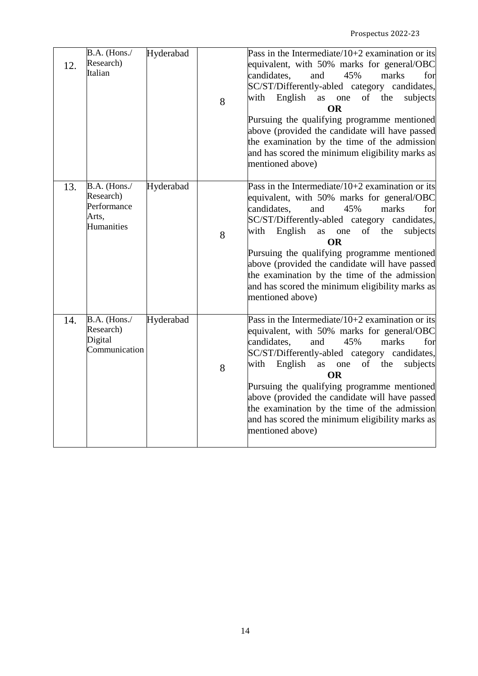| 12. | B.A. (Hons./<br>Research)<br>Italian                            | Hyderabad | 8 | Pass in the Intermediate/ $10+2$ examination or its<br>equivalent, with 50% marks for general/OBC<br>candidates,<br>and<br>45%<br>marks<br>for<br>SC/ST/Differently-abled category candidates,<br>English<br>as one<br>of the<br>with<br>subjects<br><b>OR</b><br>Pursuing the qualifying programme mentioned<br>above (provided the candidate will have passed<br>the examination by the time of the admission<br>and has scored the minimum eligibility marks as<br>mentioned above)    |
|-----|-----------------------------------------------------------------|-----------|---|-------------------------------------------------------------------------------------------------------------------------------------------------------------------------------------------------------------------------------------------------------------------------------------------------------------------------------------------------------------------------------------------------------------------------------------------------------------------------------------------|
| 13. | B.A. (Hons./<br>Research)<br>Performance<br>Arts,<br>Humanities | Hyderabad | 8 | Pass in the Intermediate/10+2 examination or its<br>equivalent, with 50% marks for general/OBC<br>candidates,<br>45%<br>and<br>marks<br>for<br>SC/ST/Differently-abled category candidates,<br>with<br>English as one<br>of<br>the<br>subjects<br><b>OR</b><br>Pursuing the qualifying programme mentioned<br>above (provided the candidate will have passed<br>the examination by the time of the admission<br>and has scored the minimum eligibility marks as<br>mentioned above)       |
| 14. | B.A. (Hons./<br>Research)<br>Digital<br>Communication           | Hyderabad | 8 | Pass in the Intermediate/ $10+2$ examination or its<br>equivalent, with 50% marks for general/OBC<br>candidates,<br>45%<br>and<br>marks<br>for<br>SC/ST/Differently-abled category candidates,<br>English<br>of<br>with<br>as one<br>the<br>subjects<br><b>OR</b><br>Pursuing the qualifying programme mentioned<br>above (provided the candidate will have passed<br>the examination by the time of the admission<br>and has scored the minimum eligibility marks as<br>mentioned above) |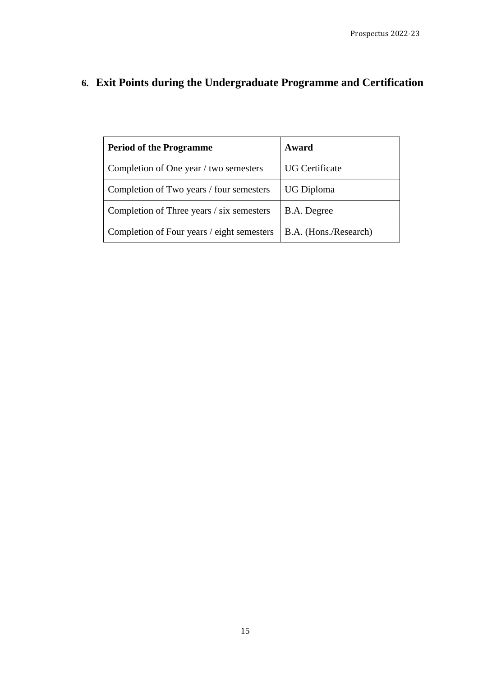# **6. Exit Points during the Undergraduate Programme and Certification**

| <b>Period of the Programme</b>             | Award                 |
|--------------------------------------------|-----------------------|
| Completion of One year / two semesters     | <b>UG</b> Certificate |
| Completion of Two years / four semesters   | UG Diploma            |
| Completion of Three years / six semesters  | B.A. Degree           |
| Completion of Four years / eight semesters | B.A. (Hons./Research) |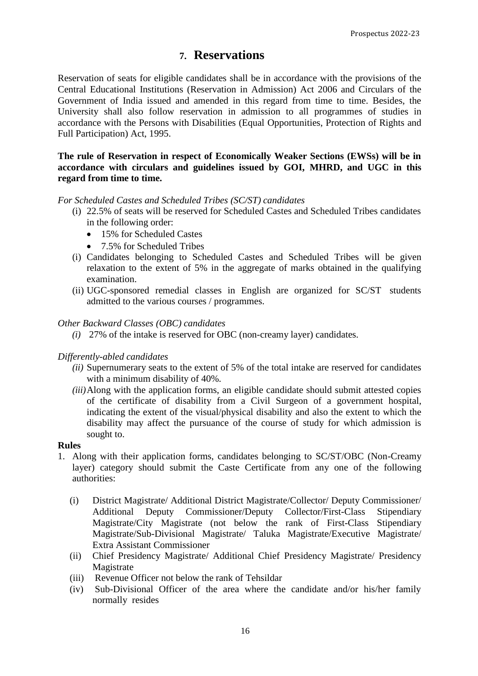### **7. Reservations**

Reservation of seats for eligible candidates shall be in accordance with the provisions of the Central Educational Institutions (Reservation in Admission) Act 2006 and Circulars of the Government of India issued and amended in this regard from time to time. Besides, the University shall also follow reservation in admission to all programmes of studies in accordance with the Persons with Disabilities (Equal Opportunities, Protection of Rights and Full Participation) Act, 1995.

**The rule of Reservation in respect of Economically Weaker Sections (EWSs) will be in accordance with circulars and guidelines issued by GOI, MHRD, and UGC in this regard from time to time.**

### *For Scheduled Castes and Scheduled Tribes (SC/ST) candidates*

- (i) 22.5% of seats will be reserved for Scheduled Castes and Scheduled Tribes candidates in the following order:
	- 15% for Scheduled Castes
	- 7.5% for Scheduled Tribes
- (i) Candidates belonging to Scheduled Castes and Scheduled Tribes will be given relaxation to the extent of 5% in the aggregate of marks obtained in the qualifying examination.
- (ii) UGC-sponsored remedial classes in English are organized for SC/ST students admitted to the various courses / programmes.

### *Other Backward Classes (OBC) candidates*

*(i)* 27% of the intake is reserved for OBC (non-creamy layer) candidates.

#### *Differently-abled candidates*

- *(ii)* Supernumerary seats to the extent of 5% of the total intake are reserved for candidates with a minimum disability of 40%.
- *(iii)* Along with the application forms, an eligible candidate should submit attested copies of the certificate of disability from a Civil Surgeon of a government hospital, indicating the extent of the visual/physical disability and also the extent to which the disability may affect the pursuance of the course of study for which admission is sought to.

#### **Rules**

- 1. Along with their application forms, candidates belonging to SC/ST/OBC (Non-Creamy layer) category should submit the Caste Certificate from any one of the following authorities:
	- (i) District Magistrate/ Additional District Magistrate/Collector/ Deputy Commissioner/ Additional Deputy Commissioner/Deputy Collector/First-Class Stipendiary Magistrate/City Magistrate (not below the rank of First-Class Stipendiary Magistrate/Sub-Divisional Magistrate/ Taluka Magistrate/Executive Magistrate/ Extra Assistant Commissioner
	- (ii) Chief Presidency Magistrate/ Additional Chief Presidency Magistrate/ Presidency Magistrate
	- (iii) Revenue Officer not below the rank of Tehsildar
	- (iv) Sub-Divisional Officer of the area where the candidate and/or his/her family normally resides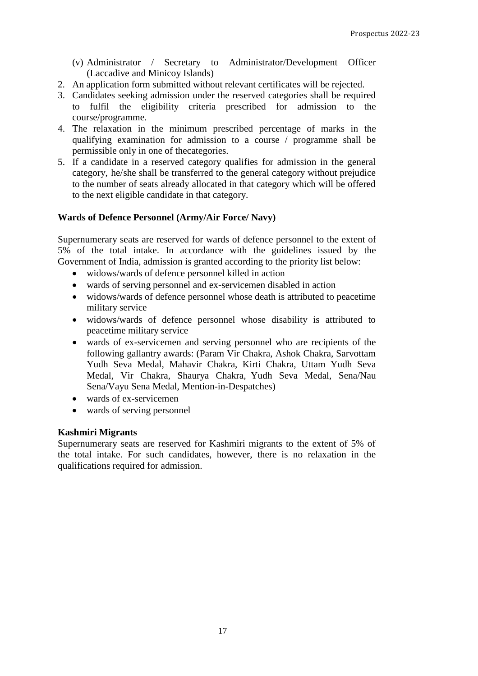(v) Administrator / Secretary to Administrator/Development Officer (Laccadive and Minicoy Islands)

- 2. An application form submitted without relevant certificates will be rejected.
- 3. Candidates seeking admission under the reserved categories shall be required to fulfil the eligibility criteria prescribed for admission to the course/programme.
- 4. The relaxation in the minimum prescribed percentage of marks in the qualifying examination for admission to a course / programme shall be permissible only in one of thecategories.
- 5. If a candidate in a reserved category qualifies for admission in the general category, he/she shall be transferred to the general category without prejudice to the number of seats already allocated in that category which will be offered to the next eligible candidate in that category.

### **Wards of Defence Personnel (Army/Air Force/ Navy)**

Supernumerary seats are reserved for wards of defence personnel to the extent of 5% of the total intake. In accordance with the guidelines issued by the Government of India, admission is granted according to the priority list below:

- widows/wards of defence personnel killed in action
- wards of serving personnel and ex-servicemen disabled in action
- widows/wards of defence personnel whose death is attributed to peacetime military service
- widows/wards of defence personnel whose disability is attributed to peacetime military service
- wards of ex-servicemen and serving personnel who are recipients of the following gallantry awards: (Param Vir Chakra, Ashok Chakra, Sarvottam Yudh Seva Medal, Mahavir Chakra, Kirti Chakra, Uttam Yudh Seva Medal, Vir Chakra, Shaurya Chakra, Yudh Seva Medal, Sena/Nau Sena/Vayu Sena Medal, Mention-in-Despatches)
- wards of ex-servicemen
- wards of serving personnel

#### **Kashmiri Migrants**

Supernumerary seats are reserved for Kashmiri migrants to the extent of 5% of the total intake. For such candidates, however, there is no relaxation in the qualifications required for admission.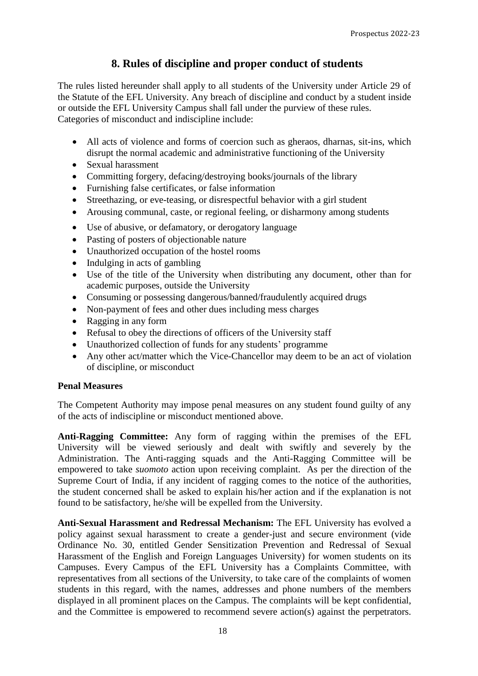### **8. Rules of discipline and proper conduct of students**

The rules listed hereunder shall apply to all students of the University under Article 29 of the Statute of the EFL University. Any breach of discipline and conduct by a student inside or outside the EFL University Campus shall fall under the purview of these rules. Categories of misconduct and indiscipline include:

- All acts of violence and forms of coercion such as gheraos, dharnas, sit-ins, which disrupt the normal academic and administrative functioning of the University
- Sexual harassment
- Committing forgery, defacing/destroying books/journals of the library
- Furnishing false certificates, or false information
- Streethazing, or eve-teasing, or disrespectful behavior with a girl student
- Arousing communal, caste, or regional feeling, or disharmony among students
- Use of abusive, or defamatory, or derogatory language
- Pasting of posters of objectionable nature
- Unauthorized occupation of the hostel rooms
- Indulging in acts of gambling
- Use of the title of the University when distributing any document, other than for academic purposes, outside the University
- Consuming or possessing dangerous/banned/fraudulently acquired drugs
- Non-payment of fees and other dues including mess charges
- Ragging in any form
- Refusal to obey the directions of officers of the University staff
- Unauthorized collection of funds for any students' programme
- Any other act/matter which the Vice-Chancellor may deem to be an act of violation of discipline, or misconduct

### **Penal Measures**

The Competent Authority may impose penal measures on any student found guilty of any of the acts of indiscipline or misconduct mentioned above.

**Anti-Ragging Committee:** Any form of ragging within the premises of the EFL University will be viewed seriously and dealt with swiftly and severely by the Administration. The Anti-ragging squads and the Anti-Ragging Committee will be empowered to take *suomoto* action upon receiving complaint. As per the direction of the Supreme Court of India, if any incident of ragging comes to the notice of the authorities, the student concerned shall be asked to explain his/her action and if the explanation is not found to be satisfactory, he/she will be expelled from the University.

**Anti-Sexual Harassment and Redressal Mechanism:** The EFL University has evolved a policy against sexual harassment to create a gender-just and secure environment (vide Ordinance No. 30, entitled Gender Sensitization Prevention and Redressal of Sexual Harassment of the English and Foreign Languages University) for women students on its Campuses. Every Campus of the EFL University has a Complaints Committee, with representatives from all sections of the University, to take care of the complaints of women students in this regard, with the names, addresses and phone numbers of the members displayed in all prominent places on the Campus. The complaints will be kept confidential, and the Committee is empowered to recommend severe action(s) against the perpetrators.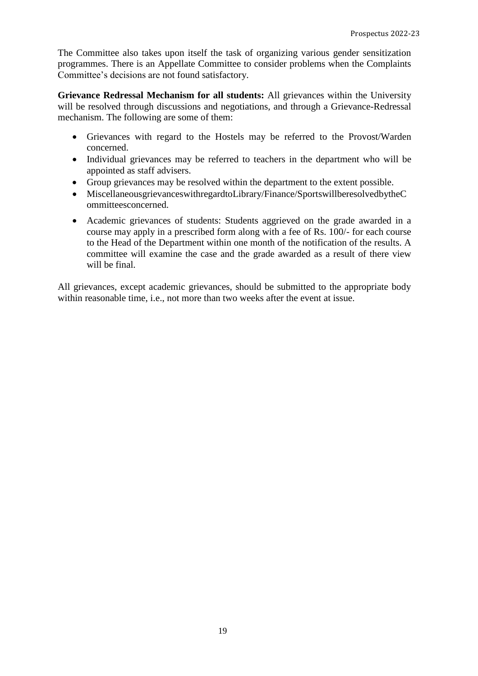The Committee also takes upon itself the task of organizing various gender sensitization programmes. There is an Appellate Committee to consider problems when the Complaints Committee's decisions are not found satisfactory.

**Grievance Redressal Mechanism for all students:** All grievances within the University will be resolved through discussions and negotiations, and through a Grievance-Redressal mechanism. The following are some of them:

- Grievances with regard to the Hostels may be referred to the Provost/Warden concerned.
- Individual grievances may be referred to teachers in the department who will be appointed as staff advisers.
- Group grievances may be resolved within the department to the extent possible.
- MiscellaneousgrievanceswithregardtoLibrary/Finance/SportswillberesolvedbytheC ommitteesconcerned.
- Academic grievances of students: Students aggrieved on the grade awarded in a course may apply in a prescribed form along with a fee of Rs. 100/- for each course to the Head of the Department within one month of the notification of the results. A committee will examine the case and the grade awarded as a result of there view will be final.

All grievances, except academic grievances, should be submitted to the appropriate body within reasonable time, i.e., not more than two weeks after the event at issue.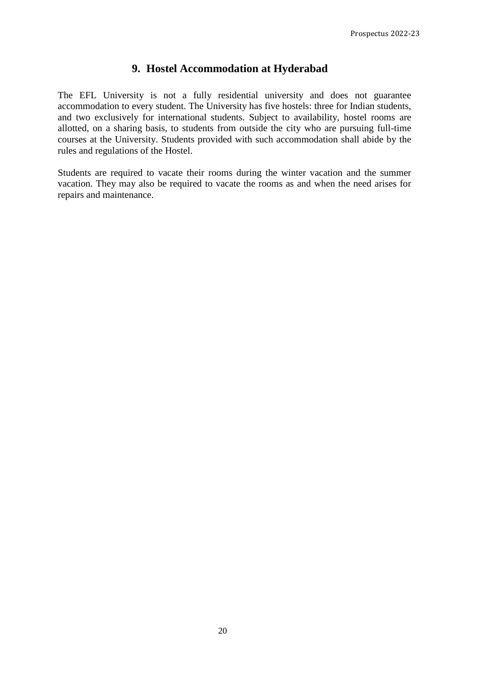### **9. Hostel Accommodation at Hyderabad**

The EFL University is not a fully residential university and does not guarantee accommodation to every student. The University has five hostels: three for Indian students, and two exclusively for international students. Subject to availability, hostel rooms are allotted, on a sharing basis, to students from outside the city who are pursuing full-time courses at the University. Students provided with such accommodation shall abide by the rules and regulations of the Hostel.

Students are required to vacate their rooms during the winter vacation and the summer vacation. They may also be required to vacate the rooms as and when the need arises for repairs and maintenance.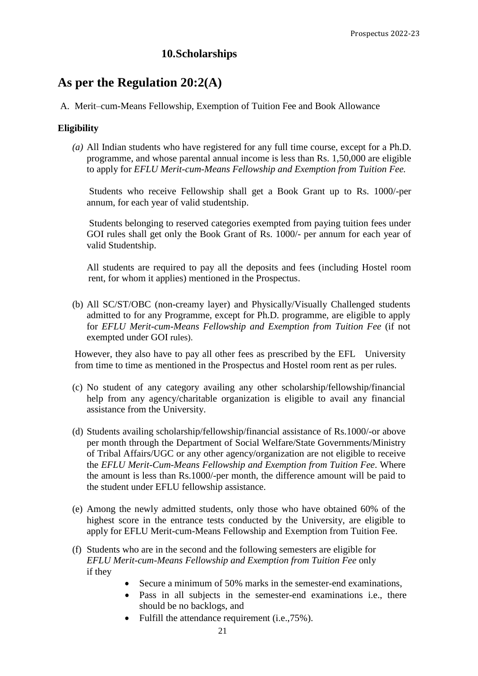### **10.Scholarships**

### **As per the Regulation 20:2(A)**

A. Merit–cum-Means Fellowship, Exemption of Tuition Fee and Book Allowance

### **Eligibility**

*(a)* All Indian students who have registered for any full time course, except for a Ph.D. programme, and whose parental annual income is less than Rs. 1,50,000 are eligible to apply for *EFLU Merit-cum-Means Fellowship and Exemption from Tuition Fee.*

Students who receive Fellowship shall get a Book Grant up to Rs. 1000/-per annum, for each year of valid studentship.

Students belonging to reserved categories exempted from paying tuition fees under GOI rules shall get only the Book Grant of Rs. 1000/- per annum for each year of valid Studentship.

All students are required to pay all the deposits and fees (including Hostel room rent, for whom it applies) mentioned in the Prospectus.

(b) All SC/ST/OBC (non-creamy layer) and Physically/Visually Challenged students admitted to for any Programme, except for Ph.D. programme, are eligible to apply for *EFLU Merit-cum-Means Fellowship and Exemption from Tuition Fee* (if not exempted under GOI rules).

However, they also have to pay all other fees as prescribed by the EFL University from time to time as mentioned in the Prospectus and Hostel room rent as per rules.

- (c) No student of any category availing any other scholarship/fellowship/financial help from any agency/charitable organization is eligible to avail any financial assistance from the University.
- (d) Students availing scholarship/fellowship/financial assistance of Rs.1000/-or above per month through the Department of Social Welfare/State Governments/Ministry of Tribal Affairs/UGC or any other agency/organization are not eligible to receive the *EFLU Merit-Cum-Means Fellowship and Exemption from Tuition Fee*. Where the amount is less than Rs.1000/-per month, the difference amount will be paid to the student under EFLU fellowship assistance.
- (e) Among the newly admitted students, only those who have obtained 60% of the highest score in the entrance tests conducted by the University, are eligible to apply for EFLU Merit-cum-Means Fellowship and Exemption from Tuition Fee.
- (f) Students who are in the second and the following semesters are eligible for *EFLU Merit-cum-Means Fellowship and Exemption from Tuition Fee* only if they
	- Secure a minimum of 50% marks in the semester-end examinations,
	- Pass in all subjects in the semester-end examinations i.e., there should be no backlogs, and
	- Fulfill the attendance requirement (i.e., 75%).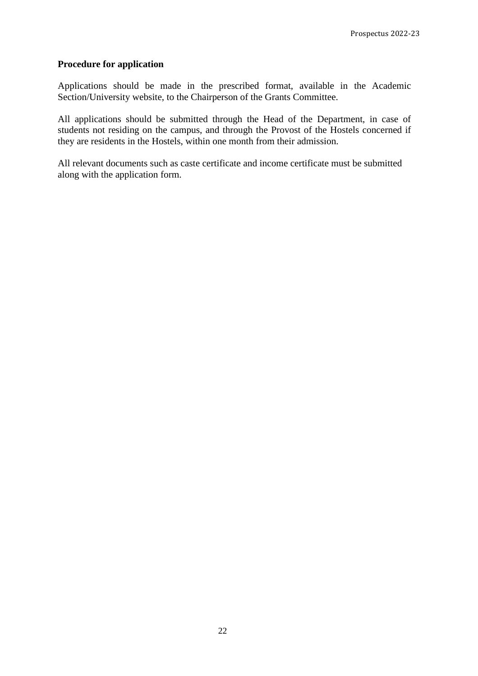### **Procedure for application**

Applications should be made in the prescribed format, available in the Academic Section/University website, to the Chairperson of the Grants Committee.

All applications should be submitted through the Head of the Department, in case of students not residing on the campus, and through the Provost of the Hostels concerned if they are residents in the Hostels, within one month from their admission.

All relevant documents such as caste certificate and income certificate must be submitted along with the application form.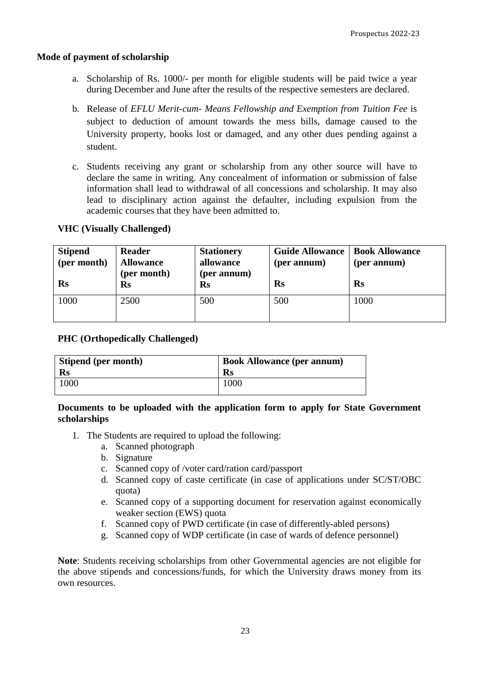#### **Mode of payment of scholarship**

- a. Scholarship of Rs. 1000/- per month for eligible students will be paid twice a year during December and June after the results of the respective semesters are declared.
- b. Release of *EFLU Merit-cum- Means Fellowship and Exemption from Tuition Fee* is subject to deduction of amount towards the mess bills, damage caused to the University property, books lost or damaged, and any other dues pending against a student.
- c. Students receiving any grant or scholarship from any other source will have to declare the same in writing. Any concealment of information or submission of false information shall lead to withdrawal of all concessions and scholarship. It may also lead to disciplinary action against the defaulter, including expulsion from the academic courses that they have been admitted to.

### **VHC (Visually Challenged)**

| <b>Stipend</b><br>(per month)<br>Rs | <b>Reader</b><br><b>Allowance</b><br>(per month)<br>$\mathbf{R}$ s | <b>Stationery</b><br>allowance<br>(per annum)<br>$\mathbf{Rs}$ | <b>Guide Allowance</b><br>(per annum)<br>Rs | <b>Book Allowance</b><br>(per annum)<br>Rs |
|-------------------------------------|--------------------------------------------------------------------|----------------------------------------------------------------|---------------------------------------------|--------------------------------------------|
| 1000                                | 2500                                                               | 500                                                            | 500                                         | 1000                                       |

### **PHC (Orthopedically Challenged)**

| Stipend (per month) | <b>Book Allowance (per annum)</b> |
|---------------------|-----------------------------------|
| Rs                  | $\mathbf{R}$ s                    |
| 1000                | 1000                              |

### **Documents to be uploaded with the application form to apply for State Government scholarships**

- 1. The Students are required to upload the following:
	- a. Scanned photograph
	- b. Signature
	- c. Scanned copy of /voter card/ration card/passport
	- d. Scanned copy of caste certificate (in case of applications under SC/ST/OBC quota)
	- e. Scanned copy of a supporting document for reservation against economically weaker section (EWS) quota
	- f. Scanned copy of PWD certificate (in case of differently-abled persons)
	- g. Scanned copy of WDP certificate (in case of wards of defence personnel)

**Note**: Students receiving scholarships from other Governmental agencies are not eligible for the above stipends and concessions/funds, for which the University draws money from its own resources.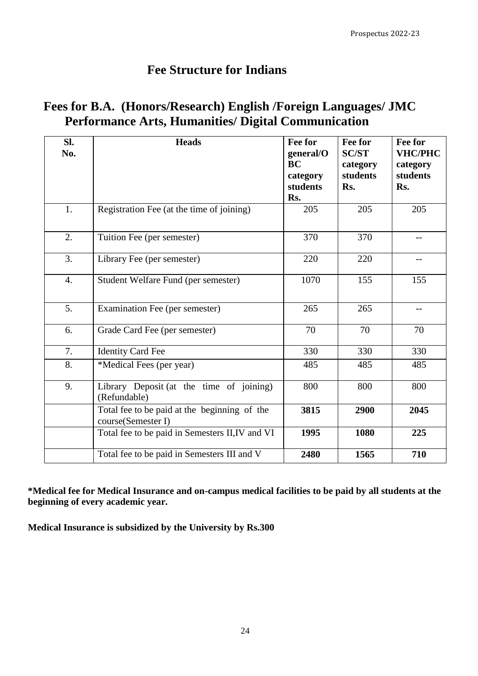## **Fee Structure for Indians**

| Fees for B.A. (Honors/Research) English /Foreign Languages/ JMC |  |
|-----------------------------------------------------------------|--|
| <b>Performance Arts, Humanities/ Digital Communication</b>      |  |

| SI.<br>No.       | <b>Heads</b>                                                       | Fee for<br>general/O<br><b>BC</b><br>category<br>students<br>Rs. | Fee for<br><b>SC/ST</b><br>category<br>students<br>Rs. | Fee for<br><b>VHC/PHC</b><br>category<br>students<br>Rs. |
|------------------|--------------------------------------------------------------------|------------------------------------------------------------------|--------------------------------------------------------|----------------------------------------------------------|
| 1.               | Registration Fee (at the time of joining)                          | 205                                                              | 205                                                    | 205                                                      |
| 2.               | Tuition Fee (per semester)                                         | 370                                                              | 370                                                    |                                                          |
| 3.               | Library Fee (per semester)                                         | 220                                                              | 220                                                    |                                                          |
| $\overline{4}$ . | Student Welfare Fund (per semester)                                | 1070                                                             | 155                                                    | 155                                                      |
| 5.               | Examination Fee (per semester)                                     | 265                                                              | 265                                                    |                                                          |
| 6.               | Grade Card Fee (per semester)                                      | 70                                                               | 70                                                     | 70                                                       |
| 7.               | <b>Identity Card Fee</b>                                           | 330                                                              | 330                                                    | 330                                                      |
| 8.               | *Medical Fees (per year)                                           | 485                                                              | 485                                                    | 485                                                      |
| 9.               | Library Deposit (at the time of joining)<br>(Refundable)           | 800                                                              | 800                                                    | 800                                                      |
|                  | Total fee to be paid at the beginning of the<br>course(Semester I) | 3815                                                             | 2900                                                   | 2045                                                     |
|                  | Total fee to be paid in Semesters II, IV and VI                    | 1995                                                             | 1080                                                   | 225                                                      |
|                  | Total fee to be paid in Semesters III and V                        | 2480                                                             | 1565                                                   | 710                                                      |

**\*Medical fee for Medical Insurance and on-campus medical facilities to be paid by all students at the beginning of every academic year.**

**Medical Insurance is subsidized by the University by Rs.300**